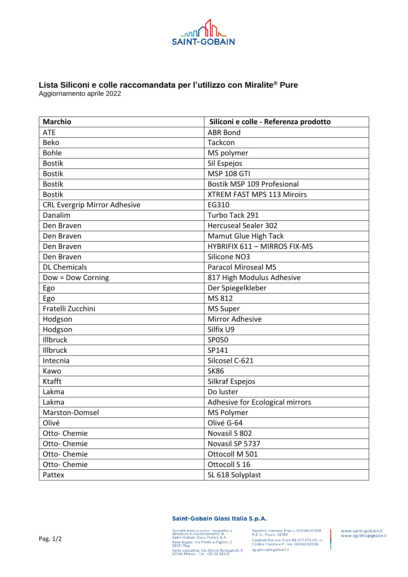

## **Lista Siliconi e colle raccomandata per l'utilizzo con Miralite® Pure**

Aggiornamento aprile 2022

| <b>Marchio</b>                      | Siliconi e colle - Referenza prodotto |
|-------------------------------------|---------------------------------------|
| <b>ATE</b>                          | <b>ABR Bond</b>                       |
| <b>Beko</b>                         | Tackcon                               |
| <b>Bohle</b>                        | MS polymer                            |
| <b>Bostik</b>                       | Sil Espejos                           |
| <b>Bostik</b>                       | <b>MSP 108 GTI</b>                    |
| <b>Bostik</b>                       | Bostik MSP 109 Profesional            |
| <b>Bostik</b>                       | XTREM FAST MPS 113 Miroirs            |
| <b>CRL Evergrip Mirror Adhesive</b> | EG310                                 |
| Danalim                             | Turbo Tack 291                        |
| Den Braven                          | <b>Hercuseal Sealer 302</b>           |
| Den Braven                          | Mamut Glue High Tack                  |
| Den Braven                          | <b>HYBRIFIX 611 - MIRROS FIX-MS</b>   |
| Den Braven                          | Silicone NO3                          |
| <b>DL Chemicals</b>                 | <b>Paracol Miroseal MS</b>            |
| Dow = Dow Corning                   | 817 High Modulus Adhesive             |
| Ego                                 | Der Spiegelkleber                     |
| Ego                                 | MS 812                                |
| Fratelli Zucchini                   | <b>MS Super</b>                       |
| Hodgson                             | <b>Mirror Adhesive</b>                |
| Hodgson                             | Silfix U9                             |
| Illbruck                            | SP050                                 |
| Illbruck                            | SP141                                 |
| Intecnia                            | Silcosel C-621                        |
| Kawo                                | <b>SK86</b>                           |
| Ktafft                              | Silkraf Espejos                       |
| Lakma                               | Do luster                             |
| Lakma                               | Adhesive for Ecological mirrors       |
| Marston-Domsel                      | <b>MS Polymer</b>                     |
| Olivé                               | Olivé G-64                            |
| Otto-Chemie                         | Novasil S 802                         |
| Otto-Chemie                         | Novasil SP 5737                       |
| Otto-Chemie                         | Ottocoll M 501                        |
| Otto- Chemie                        | Ottocoll S 16                         |
| Pattex                              | SL 618 Solyplast                      |

## Saint-Gobain Glass Italia S.p.A.

Società a socio unico - soggetta a Registro Imprese: Pisa<br>direzione e coordinamento di  $R$ . E.A.: Pisa n. 52199<br>Sede legale: Via Ponte a Piglieri, 2 Capitale Sociale: Euro<br>56121 Pisa - Coolice Fiscale e P. IVA<br>Sede operati

Registro Imprese: Pisa n. 00116650508<br>R.E.A.: Pisa n. 52199<br>Capitale Sociale: Euro 68.377.275,00 i.v.<br>Codice Fiscale e P. IVA: 00116650508

www.saint-gobain.it www.sg-lifeupgrade.it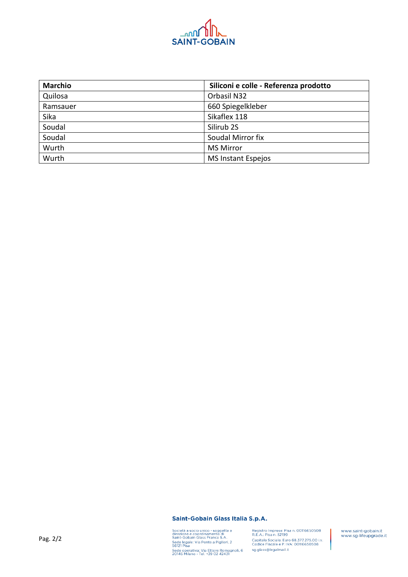

| <b>Marchio</b> | Siliconi e colle - Referenza prodotto |
|----------------|---------------------------------------|
| Quilosa        | Orbasil N32                           |
| Ramsauer       | 660 Spiegelkleber                     |
| Sika           | Sikaflex 118                          |
| Soudal         | Silirub <sub>2S</sub>                 |
| Soudal         | Soudal Mirror fix                     |
| Wurth          | <b>MS Mirror</b>                      |
| Wurth          | <b>MS Instant Espejos</b>             |

Saint-Gobain Glass Italia S.p.A.

Società a socio unico - soggetta a<br>direzione e coordinamento di<br>Saint-Gobain Glass France S.A.<br>Sede legale: Via Ponte a Piglieri, 2<br>56121 Pisa<br>Sede operativa: Via Ettore Romagnoli, 6<br>20146 Milano - Tel. +39 02 42431

Registro Imprese: Pisa n. 00116650508<br>R.E.A.: Pisa n. 52199<br>Capitale Sociale: Euro 68.377.275,00 i.v.<br>Codice Fiscale e P. IVA: 00116650508 sg.glass@legalmail.it

www.saint-gobain.it<br>www.sg-lifeupgrade.it